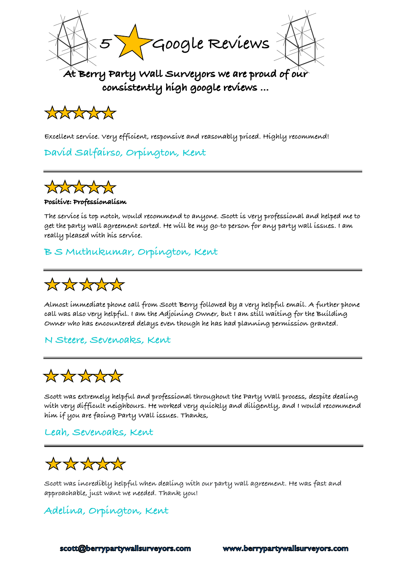



**Excellent service. Very efficient, responsive and reasonably priced. Highly recommend!**

**David Salfairso, Orpington, Kent** 



#### **Positive: Professionalism**

**The service is top notch, would recommend to anyone. Scott is very professional and helped me to get the party wall agreement sorted. He will be my go-to person for any party wall issues. I am really pleased with his service.**

### **B S Muthukumar, Orpington, Kent**



**Almost immediate phone call from Scott Berry followed by a very helpful email. A further phone call was also very helpful. I am the Adjoining Owner, but I am still waiting for the Building Owner who has encountered delays even though he has had planning permission granted.**

### **N Steere, Sevenoaks, Kent**



**Scott was extremely helpful and professional throughout the Party Wall process, despite dealing with very difficult neighbours. He worked very quickly and diligently, and I would recommend him if you are facing Party Wall issues. Thanks,**

### **Leah, Sevenoaks, Kent**



**Scott was incredibly helpful when dealing with our party wall agreement. He was fast and approachable, just want we needed. Thank you!**

## **Adelina, Orpington, Kent**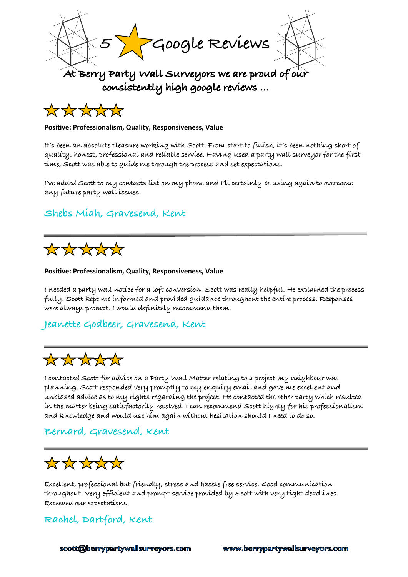



#### **Positive: Professionalism, Quality, Responsiveness, Value**

**It's been an absolute pleasure working with Scott. From start to finish, it's been nothing short of quality, honest, professional and reliable service. Having used a party wall surveyor for the first time, Scott was able to guide me through the process and set expectations.**

**I've added Scott to my contacts list on my phone and I'll certainly be using again to overcome any future party wall issues.**

### **Shebs Miah, Gravesend, Kent**



#### **Positive: Professionalism, Quality, Responsiveness, Value**

**I needed a party wall notice for a loft conversion. Scott was really helpful. He explained the process fully. Scott kept me informed and provided guidance throughout the entire process. Responses were always prompt. I would definitely recommend them.**

#### **Jeanette Godbeer, Gravesend, Kent**

# \*\*\*\*\*\*

**I contacted Scott for advice on a Party Wall Matter relating to a project my neighbour was planning. Scott responded very promptly to my enquiry email and gave me excellent and unbiased advice as to my rights regarding the project. He contacted the other party which resulted in the matter being satisfactorily resolved. I can recommend Scott highly for his professionalism and knowledge and would use him again without hesitation should I need to do so.**

### **Bernard, Gravesend, Kent**

# \*\*\*\*\*\*

**Excellent, professional but friendly, stress and hassle free service. Good communication throughout. Very efficient and prompt service provided by Scott with very tight deadlines. Exceeded our expectations.**

### **Rachel, Dartford, Kent**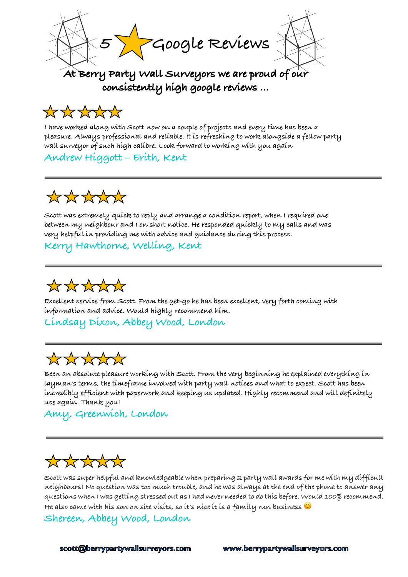**5 Google Reviews**

# \*\*\*\*\*\*

**I have worked along with Scott now on a couple of projects and every time has been a pleasure. Always professional and reliable. It is refreshing to work alongside a fellow party wall surveyor of such high calibre. Look forward to working with you again**

**Andrew Higgott – Erith, Kent**

# \*\*\*\*\*\*

**Scott was extremely quick to reply and arrange a condition report, when I required one between my neighbour and I on short notice. He responded quickly to my calls and was very helpful in providing me with advice and guidance during this process.**

**Kerry Hawthorne, Welling, Kent** 



**Excellent service from Scott. From the get-go he has been excellent, very forth coming with information and advice. Would highly recommend him.**

**Lindsay Dixon, Abbey Wood, London**

# \*\*\*\*\*\*

**Been an absolute pleasure working with Scott. From the very beginning he explained everything in layman's terms, the timeframe involved with party wall notices and what to expect. Scott has been incredibly efficient with paperwork and keeping us updated. Highly recommend and will definitely use again. Thank you!**

**Amy, Greenwich, London**

# \*\*\*\*\*\*

**Scott was super helpful and knowledgeable when preparing 2 party wall awards for me with my difficult neighbours! No question was too much trouble, and he was always at the end of the phone to answer any questions when I was getting stressed out as I had never needed to do this before. Would 100% recommend. He also came with his son on site visits, so it's nice it is a family run business** 

**Shereen, Abbey Wood, London**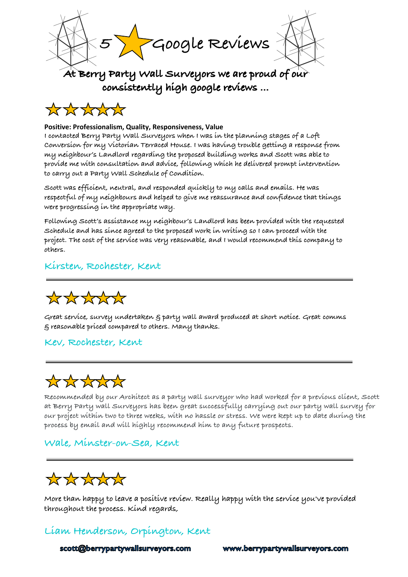



#### **Positive: Professionalism, Quality, Responsiveness, Value**

**I contacted Berry Party Wall Surveyors when I was in the planning stages of a Loft Conversion for my Victorian Terraced House. I was having trouble getting a response from my neighbour's Landlord regarding the proposed building works and Scott was able to provide me with consultation and advice, following which he delivered prompt intervention to carry out a Party Wall Schedule of Condition.**

**Scott was efficient, neutral, and responded quickly to my calls and emails. He was respectful of my neighbours and helped to give me reassurance and confidence that things were progressing in the appropriate way.**

**Following Scott's assistance my neighbour's Landlord has been provided with the requested Schedule and has since agreed to the proposed work in writing so I can proceed with the project. The cost of the service was very reasonable, and I would recommend this company to others.**

#### **Kirsten, Rochester, Kent**



**Great service, survey undertaken & party wall award produced at short notice. Great comms & reasonable priced compared to others. Many thanks.**

#### **Kev, Rochester, Kent**



**Recommended by our Architect as a party wall surveyor who had worked for a previous client, Scott at Berry Party wall Surveyors has been great successfully carrying out our party wall survey for our project within two to three weeks, with no hassle or stress. We were kept up to date during the process by email and will highly recommend him to any future prospects.**

### **Wale, Minster-on-Sea, Kent**



**More than happy to leave a positive review. Really happy with the service you've provided throughout the process. Kind regards,**

## **Liam Henderson, Orpington, Kent**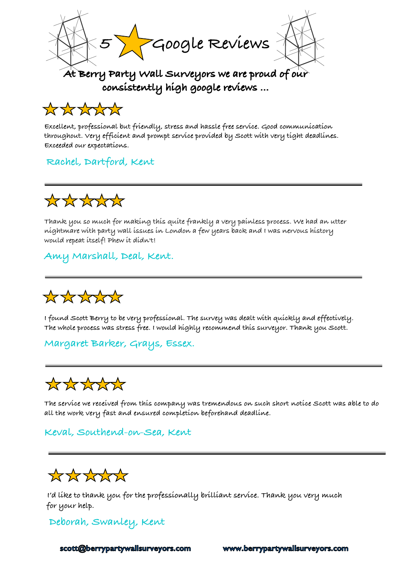

# \*\*\*\*\*

**Excellent, professional but friendly, stress and hassle free service. Good communication throughout. Very efficient and prompt service provided by Scott with very tight deadlines. Exceeded our expectations.**

## **Rachel, Dartford, Kent**



**Thank you so much for making this quite frankly a very painless process. We had an utter nightmare with party wall issues in London a few years back and I was nervous history would repeat itself! Phew it didn't!**

## **Amy Marshall, Deal, Kent.**



**I found Scott Berry to be very professional. The survey was dealt with quickly and effectively. The whole process was stress free. I would highly recommend this surveyor. Thank you Scott.**

### **Margaret Barker, Grays, Essex.**



**The service we received from this company was tremendous on such short notice Scott was able to do all the work very fast and ensured completion beforehand deadline.**

### **Keval, Southend-on-Sea, Kent**

# \*\*\*\*\*\*

**I'd like to thank you for the professionally brilliant service. Thank you very much for your help.**

### **Deborah, Swanley, Kent**